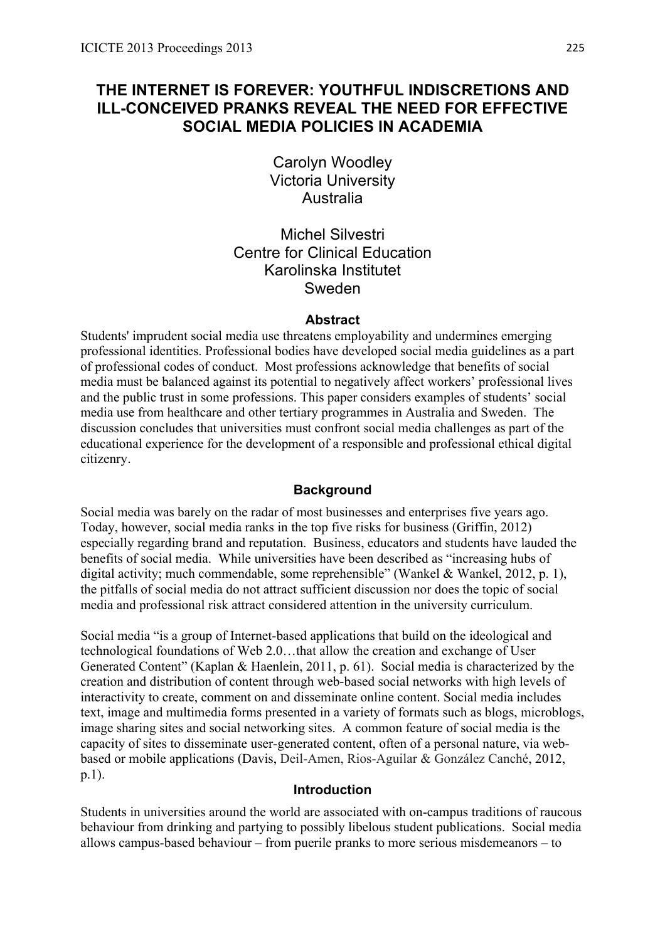# **THE INTERNET IS FOREVER: YOUTHFUL INDISCRETIONS AND ILL-CONCEIVED PRANKS REVEAL THE NEED FOR EFFECTIVE SOCIAL MEDIA POLICIES IN ACADEMIA**

Carolyn Woodley Victoria University Australia

Michel Silvestri Centre for Clinical Education Karolinska Institutet Sweden

#### **Abstract**

Students' imprudent social media use threatens employability and undermines emerging professional identities. Professional bodies have developed social media guidelines as a part of professional codes of conduct. Most professions acknowledge that benefits of social media must be balanced against its potential to negatively affect workers' professional lives and the public trust in some professions. This paper considers examples of students' social media use from healthcare and other tertiary programmes in Australia and Sweden. The discussion concludes that universities must confront social media challenges as part of the educational experience for the development of a responsible and professional ethical digital citizenry.

### **Background**

Social media was barely on the radar of most businesses and enterprises five years ago. Today, however, social media ranks in the top five risks for business (Griffin, 2012) especially regarding brand and reputation. Business, educators and students have lauded the benefits of social media. While universities have been described as "increasing hubs of digital activity; much commendable, some reprehensible" (Wankel & Wankel, 2012, p. 1), the pitfalls of social media do not attract sufficient discussion nor does the topic of social media and professional risk attract considered attention in the university curriculum.

Social media "is a group of Internet-based applications that build on the ideological and technological foundations of Web 2.0…that allow the creation and exchange of User Generated Content" (Kaplan & Haenlein, 2011, p. 61). Social media is characterized by the creation and distribution of content through web-based social networks with high levels of interactivity to create, comment on and disseminate online content. Social media includes text, image and multimedia forms presented in a variety of formats such as blogs, microblogs, image sharing sites and social networking sites. A common feature of social media is the capacity of sites to disseminate user-generated content, often of a personal nature, via webbased or mobile applications (Davis, Deil-Amen, Rios-Aguilar & González Canché, 2012, p.1).

### **Introduction**

Students in universities around the world are associated with on-campus traditions of raucous behaviour from drinking and partying to possibly libelous student publications. Social media allows campus-based behaviour – from puerile pranks to more serious misdemeanors – to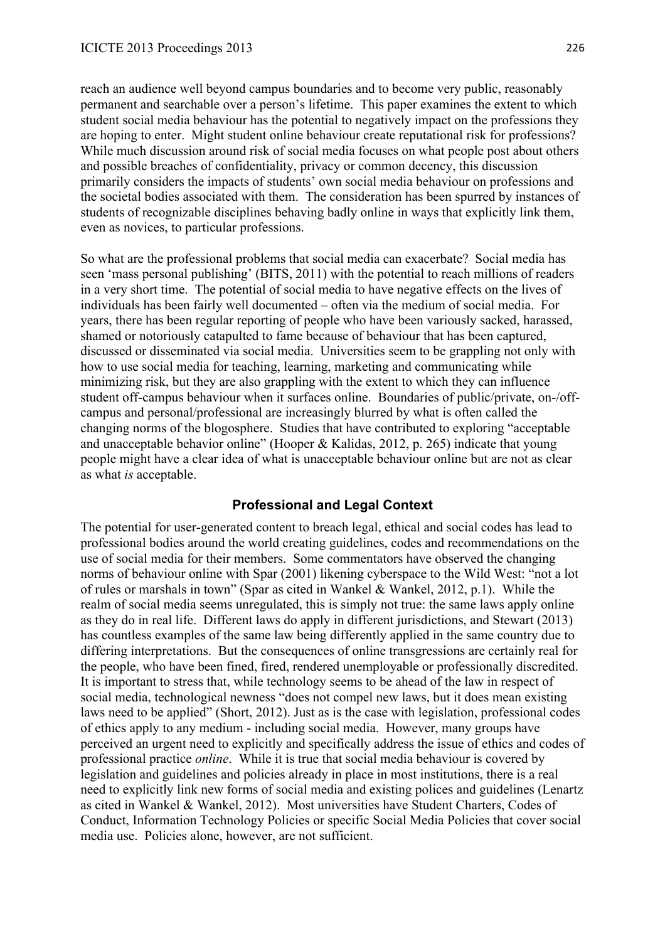reach an audience well beyond campus boundaries and to become very public, reasonably permanent and searchable over a person's lifetime. This paper examines the extent to which student social media behaviour has the potential to negatively impact on the professions they are hoping to enter. Might student online behaviour create reputational risk for professions? While much discussion around risk of social media focuses on what people post about others and possible breaches of confidentiality, privacy or common decency, this discussion primarily considers the impacts of students' own social media behaviour on professions and the societal bodies associated with them. The consideration has been spurred by instances of students of recognizable disciplines behaving badly online in ways that explicitly link them, even as novices, to particular professions.

So what are the professional problems that social media can exacerbate? Social media has seen 'mass personal publishing' (BITS, 2011) with the potential to reach millions of readers in a very short time. The potential of social media to have negative effects on the lives of individuals has been fairly well documented – often via the medium of social media. For years, there has been regular reporting of people who have been variously sacked, harassed, shamed or notoriously catapulted to fame because of behaviour that has been captured, discussed or disseminated via social media. Universities seem to be grappling not only with how to use social media for teaching, learning, marketing and communicating while minimizing risk, but they are also grappling with the extent to which they can influence student off-campus behaviour when it surfaces online. Boundaries of public/private, on-/offcampus and personal/professional are increasingly blurred by what is often called the changing norms of the blogosphere. Studies that have contributed to exploring "acceptable and unacceptable behavior online" (Hooper & Kalidas, 2012, p. 265) indicate that young people might have a clear idea of what is unacceptable behaviour online but are not as clear as what *is* acceptable.

### **Professional and Legal Context**

The potential for user-generated content to breach legal, ethical and social codes has lead to professional bodies around the world creating guidelines, codes and recommendations on the use of social media for their members. Some commentators have observed the changing norms of behaviour online with Spar (2001) likening cyberspace to the Wild West: "not a lot of rules or marshals in town" (Spar as cited in Wankel & Wankel, 2012, p.1). While the realm of social media seems unregulated, this is simply not true: the same laws apply online as they do in real life. Different laws do apply in different jurisdictions, and Stewart (2013) has countless examples of the same law being differently applied in the same country due to differing interpretations. But the consequences of online transgressions are certainly real for the people, who have been fined, fired, rendered unemployable or professionally discredited. It is important to stress that, while technology seems to be ahead of the law in respect of social media, technological newness "does not compel new laws, but it does mean existing laws need to be applied" (Short, 2012). Just as is the case with legislation, professional codes of ethics apply to any medium - including social media. However, many groups have perceived an urgent need to explicitly and specifically address the issue of ethics and codes of professional practice *online*. While it is true that social media behaviour is covered by legislation and guidelines and policies already in place in most institutions, there is a real need to explicitly link new forms of social media and existing polices and guidelines (Lenartz as cited in Wankel & Wankel, 2012). Most universities have Student Charters, Codes of Conduct, Information Technology Policies or specific Social Media Policies that cover social media use. Policies alone, however, are not sufficient.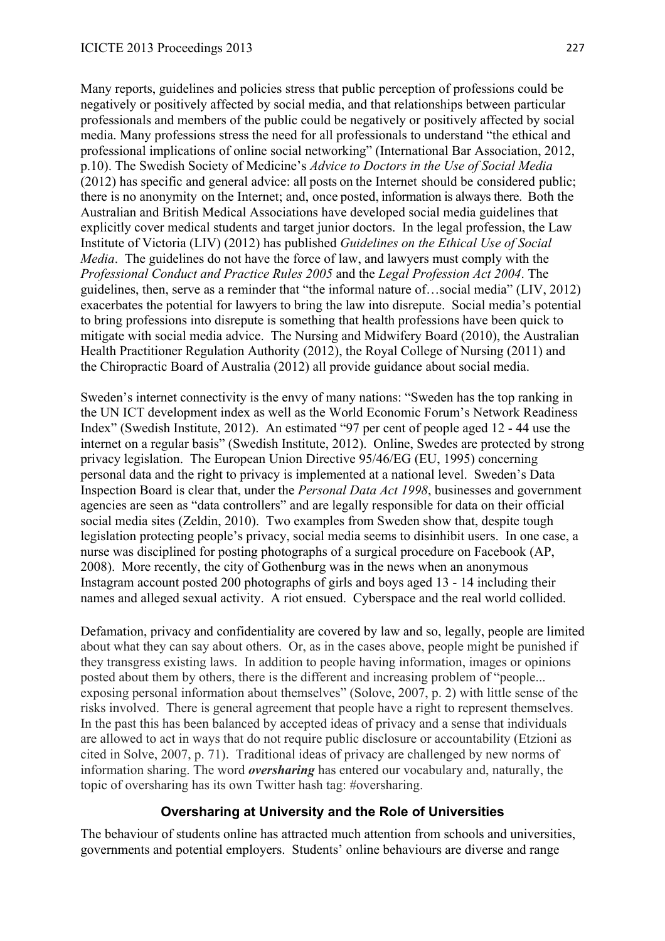Many reports, guidelines and policies stress that public perception of professions could be negatively or positively affected by social media, and that relationships between particular professionals and members of the public could be negatively or positively affected by social media. Many professions stress the need for all professionals to understand "the ethical and professional implications of online social networking" (International Bar Association, 2012, p.10). The Swedish Society of Medicine's *Advice to Doctors in the Use of Social Media* (2012) has specific and general advice: all posts on the Internet should be considered public; there is no anonymity on the Internet; and, once posted, information is always there. Both the Australian and British Medical Associations have developed social media guidelines that explicitly cover medical students and target junior doctors. In the legal profession, the Law Institute of Victoria (LIV) (2012) has published *Guidelines on the Ethical Use of Social Media*. The guidelines do not have the force of law, and lawyers must comply with the *Professional Conduct and Practice Rules 2005* and the *Legal Profession Act 2004*. The guidelines, then, serve as a reminder that "the informal nature of…social media" (LIV, 2012) exacerbates the potential for lawyers to bring the law into disrepute. Social media's potential to bring professions into disrepute is something that health professions have been quick to mitigate with social media advice. The Nursing and Midwifery Board (2010), the Australian Health Practitioner Regulation Authority (2012), the Royal College of Nursing (2011) and the Chiropractic Board of Australia (2012) all provide guidance about social media.

Sweden's internet connectivity is the envy of many nations: "Sweden has the top ranking in the UN ICT development index as well as the World Economic Forum's Network Readiness Index" (Swedish Institute, 2012). An estimated "97 per cent of people aged 12 - 44 use the internet on a regular basis" (Swedish Institute, 2012). Online, Swedes are protected by strong privacy legislation. The European Union Directive 95/46/EG (EU, 1995) concerning personal data and the right to privacy is implemented at a national level. Sweden's Data Inspection Board is clear that, under the *Personal Data Act 1998*, businesses and government agencies are seen as "data controllers" and are legally responsible for data on their official social media sites (Zeldin, 2010). Two examples from Sweden show that, despite tough legislation protecting people's privacy, social media seems to disinhibit users. In one case, a nurse was disciplined for posting photographs of a surgical procedure on Facebook (AP, 2008). More recently, the city of Gothenburg was in the news when an anonymous Instagram account posted 200 photographs of girls and boys aged 13 - 14 including their names and alleged sexual activity. A riot ensued. Cyberspace and the real world collided.

Defamation, privacy and confidentiality are covered by law and so, legally, people are limited about what they can say about others. Or, as in the cases above, people might be punished if they transgress existing laws. In addition to people having information, images or opinions posted about them by others, there is the different and increasing problem of "people... exposing personal information about themselves" (Solove, 2007, p. 2) with little sense of the risks involved. There is general agreement that people have a right to represent themselves. In the past this has been balanced by accepted ideas of privacy and a sense that individuals are allowed to act in ways that do not require public disclosure or accountability (Etzioni as cited in Solve, 2007, p. 71). Traditional ideas of privacy are challenged by new norms of information sharing. The word *oversharing* has entered our vocabulary and, naturally, the topic of oversharing has its own Twitter hash tag: #oversharing.

## **Oversharing at University and the Role of Universities**

The behaviour of students online has attracted much attention from schools and universities, governments and potential employers. Students' online behaviours are diverse and range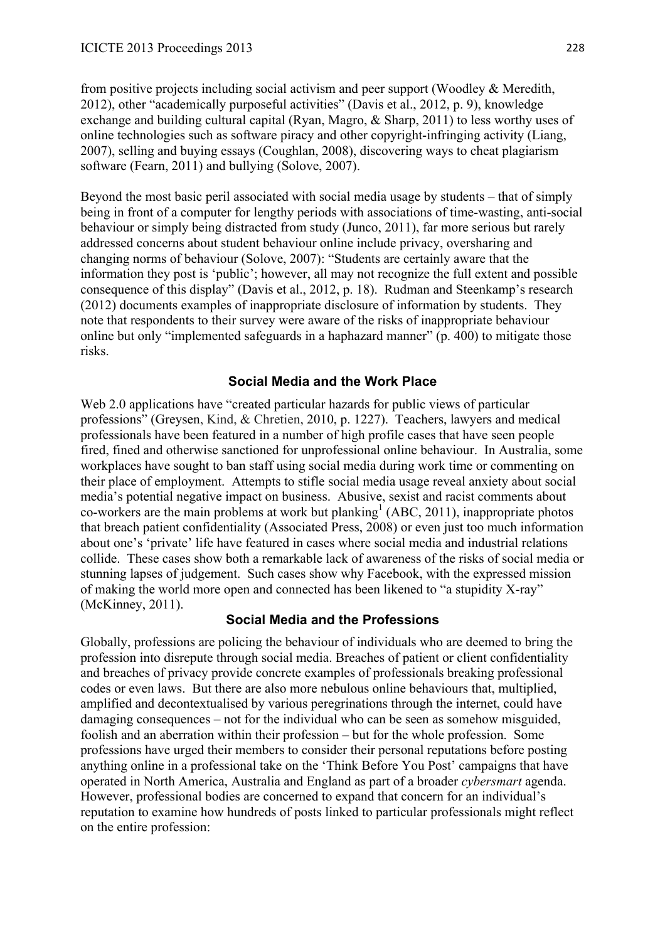from positive projects including social activism and peer support (Woodley & Meredith, 2012), other "academically purposeful activities" (Davis et al., 2012, p. 9), knowledge exchange and building cultural capital (Ryan, Magro, & Sharp, 2011) to less worthy uses of online technologies such as software piracy and other copyright-infringing activity (Liang, 2007), selling and buying essays (Coughlan, 2008), discovering ways to cheat plagiarism software (Fearn, 2011) and bullying (Solove, 2007).

Beyond the most basic peril associated with social media usage by students – that of simply being in front of a computer for lengthy periods with associations of time-wasting, anti-social behaviour or simply being distracted from study (Junco, 2011), far more serious but rarely addressed concerns about student behaviour online include privacy, oversharing and changing norms of behaviour (Solove, 2007): "Students are certainly aware that the information they post is 'public'; however, all may not recognize the full extent and possible consequence of this display" (Davis et al., 2012, p. 18). Rudman and Steenkamp's research (2012) documents examples of inappropriate disclosure of information by students. They note that respondents to their survey were aware of the risks of inappropriate behaviour online but only "implemented safeguards in a haphazard manner" (p. 400) to mitigate those risks.

### **Social Media and the Work Place**

Web 2.0 applications have "created particular hazards for public views of particular professions" (Greysen, Kind, & Chretien, 2010, p. 1227). Teachers, lawyers and medical professionals have been featured in a number of high profile cases that have seen people fired, fined and otherwise sanctioned for unprofessional online behaviour. In Australia, some workplaces have sought to ban staff using social media during work time or commenting on their place of employment. Attempts to stifle social media usage reveal anxiety about social media's potential negative impact on business. Abusive, sexist and racist comments about co-workers are the main problems at work but planking<sup>1</sup> (ABC, 2011), inappropriate photos that breach patient confidentiality (Associated Press, 2008) or even just too much information about one's 'private' life have featured in cases where social media and industrial relations collide. These cases show both a remarkable lack of awareness of the risks of social media or stunning lapses of judgement. Such cases show why Facebook, with the expressed mission of making the world more open and connected has been likened to "a stupidity X-ray" (McKinney, 2011).

### **Social Media and the Professions**

Globally, professions are policing the behaviour of individuals who are deemed to bring the profession into disrepute through social media. Breaches of patient or client confidentiality and breaches of privacy provide concrete examples of professionals breaking professional codes or even laws. But there are also more nebulous online behaviours that, multiplied, amplified and decontextualised by various peregrinations through the internet, could have damaging consequences – not for the individual who can be seen as somehow misguided, foolish and an aberration within their profession – but for the whole profession. Some professions have urged their members to consider their personal reputations before posting anything online in a professional take on the 'Think Before You Post' campaigns that have operated in North America, Australia and England as part of a broader *cybersmart* agenda. However, professional bodies are concerned to expand that concern for an individual's reputation to examine how hundreds of posts linked to particular professionals might reflect on the entire profession: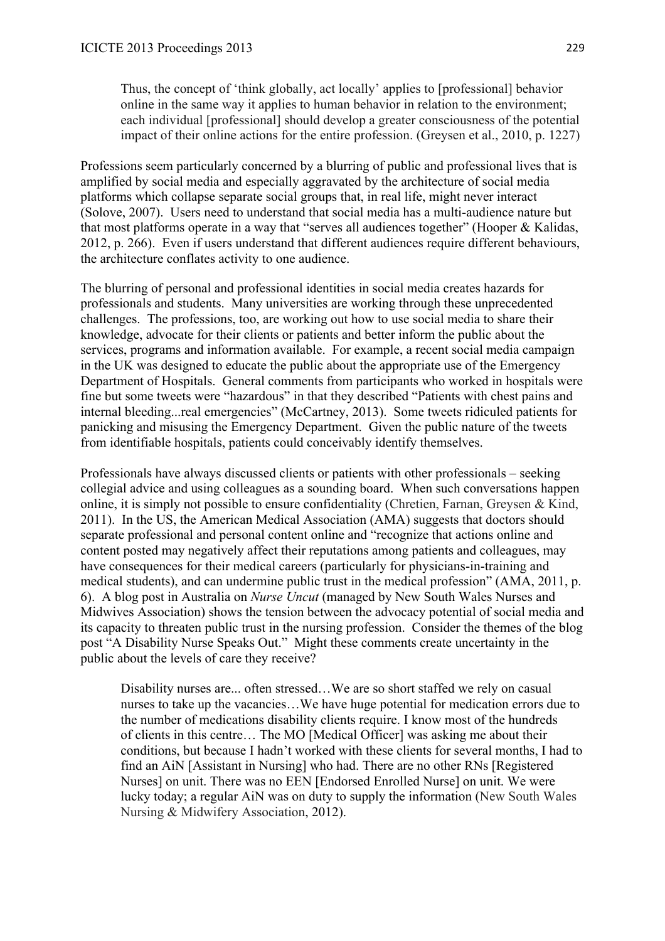Thus, the concept of 'think globally, act locally' applies to [professional] behavior online in the same way it applies to human behavior in relation to the environment; each individual [professional] should develop a greater consciousness of the potential impact of their online actions for the entire profession. (Greysen et al., 2010, p. 1227)

Professions seem particularly concerned by a blurring of public and professional lives that is amplified by social media and especially aggravated by the architecture of social media platforms which collapse separate social groups that, in real life, might never interact (Solove, 2007). Users need to understand that social media has a multi-audience nature but that most platforms operate in a way that "serves all audiences together" (Hooper & Kalidas, 2012, p. 266). Even if users understand that different audiences require different behaviours, the architecture conflates activity to one audience.

The blurring of personal and professional identities in social media creates hazards for professionals and students. Many universities are working through these unprecedented challenges. The professions, too, are working out how to use social media to share their knowledge, advocate for their clients or patients and better inform the public about the services, programs and information available. For example, a recent social media campaign in the UK was designed to educate the public about the appropriate use of the Emergency Department of Hospitals. General comments from participants who worked in hospitals were fine but some tweets were "hazardous" in that they described "Patients with chest pains and internal bleeding...real emergencies" (McCartney, 2013). Some tweets ridiculed patients for panicking and misusing the Emergency Department. Given the public nature of the tweets from identifiable hospitals, patients could conceivably identify themselves.

Professionals have always discussed clients or patients with other professionals – seeking collegial advice and using colleagues as a sounding board. When such conversations happen online, it is simply not possible to ensure confidentiality (Chretien, Farnan, Greysen & Kind, 2011). In the US, the American Medical Association (AMA) suggests that doctors should separate professional and personal content online and "recognize that actions online and content posted may negatively affect their reputations among patients and colleagues, may have consequences for their medical careers (particularly for physicians-in-training and medical students), and can undermine public trust in the medical profession" (AMA, 2011, p. 6). A blog post in Australia on *Nurse Uncut* (managed by New South Wales Nurses and Midwives Association) shows the tension between the advocacy potential of social media and its capacity to threaten public trust in the nursing profession. Consider the themes of the blog post "A Disability Nurse Speaks Out." Might these comments create uncertainty in the public about the levels of care they receive?

Disability nurses are... often stressed…We are so short staffed we rely on casual nurses to take up the vacancies…We have huge potential for medication errors due to the number of medications disability clients require. I know most of the hundreds of clients in this centre… The MO [Medical Officer] was asking me about their conditions, but because I hadn't worked with these clients for several months, I had to find an AiN [Assistant in Nursing] who had. There are no other RNs [Registered Nurses] on unit. There was no EEN [Endorsed Enrolled Nurse] on unit. We were lucky today; a regular AiN was on duty to supply the information (New South Wales Nursing & Midwifery Association, 2012).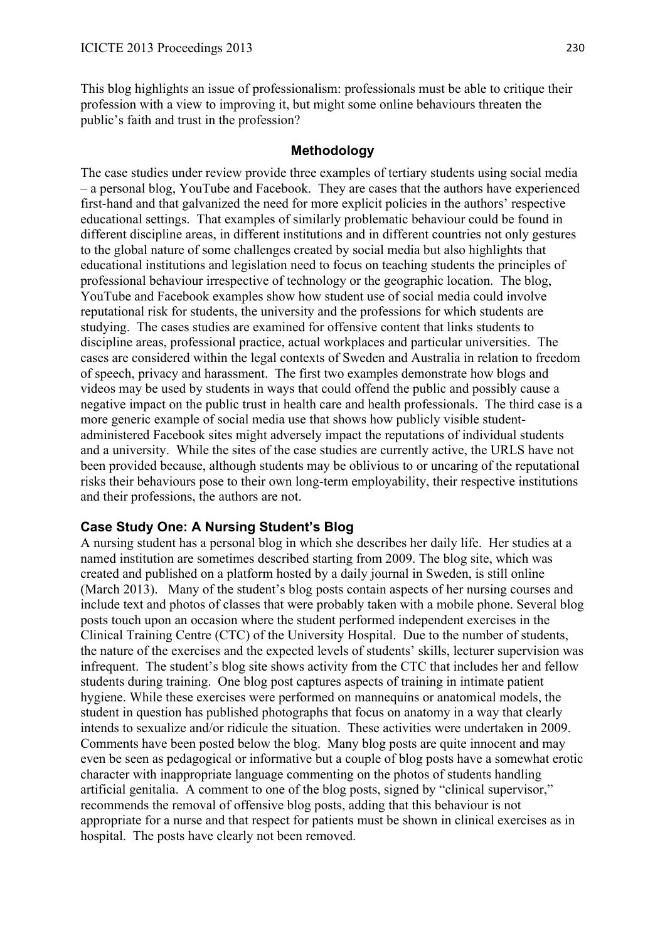This blog highlights an issue of professionalism: professionals must be able to critique their profession with a view to improving it, but might some online behaviours threaten the public's faith and trust in the profession?

## **Methodology**

The case studies under review provide three examples of tertiary students using social media – a personal blog, YouTube and Facebook. They are cases that the authors have experienced first-hand and that galvanized the need for more explicit policies in the authors' respective educational settings. That examples of similarly problematic behaviour could be found in different discipline areas, in different institutions and in different countries not only gestures to the global nature of some challenges created by social media but also highlights that educational institutions and legislation need to focus on teaching students the principles of professional behaviour irrespective of technology or the geographic location. The blog, YouTube and Facebook examples show how student use of social media could involve reputational risk for students, the university and the professions for which students are studying. The cases studies are examined for offensive content that links students to discipline areas, professional practice, actual workplaces and particular universities. The cases are considered within the legal contexts of Sweden and Australia in relation to freedom of speech, privacy and harassment. The first two examples demonstrate how blogs and videos may be used by students in ways that could offend the public and possibly cause a negative impact on the public trust in health care and health professionals. The third case is a more generic example of social media use that shows how publicly visible studentadministered Facebook sites might adversely impact the reputations of individual students and a university. While the sites of the case studies are currently active, the URLS have not been provided because, although students may be oblivious to or uncaring of the reputational risks their behaviours pose to their own long-term employability, their respective institutions and their professions, the authors are not.

## **Case Study One: A Nursing Student's Blog**

A nursing student has a personal blog in which she describes her daily life. Her studies at a named institution are sometimes described starting from 2009. The blog site, which was created and published on a platform hosted by a daily journal in Sweden, is still online (March 2013). Many of the student's blog posts contain aspects of her nursing courses and include text and photos of classes that were probably taken with a mobile phone. Several blog posts touch upon an occasion where the student performed independent exercises in the Clinical Training Centre (CTC) of the University Hospital. Due to the number of students, the nature of the exercises and the expected levels of students' skills, lecturer supervision was infrequent. The student's blog site shows activity from the CTC that includes her and fellow students during training. One blog post captures aspects of training in intimate patient hygiene. While these exercises were performed on mannequins or anatomical models, the student in question has published photographs that focus on anatomy in a way that clearly intends to sexualize and/or ridicule the situation. These activities were undertaken in 2009. Comments have been posted below the blog. Many blog posts are quite innocent and may even be seen as pedagogical or informative but a couple of blog posts have a somewhat erotic character with inappropriate language commenting on the photos of students handling artificial genitalia. A comment to one of the blog posts, signed by "clinical supervisor," recommends the removal of offensive blog posts, adding that this behaviour is not appropriate for a nurse and that respect for patients must be shown in clinical exercises as in hospital. The posts have clearly not been removed.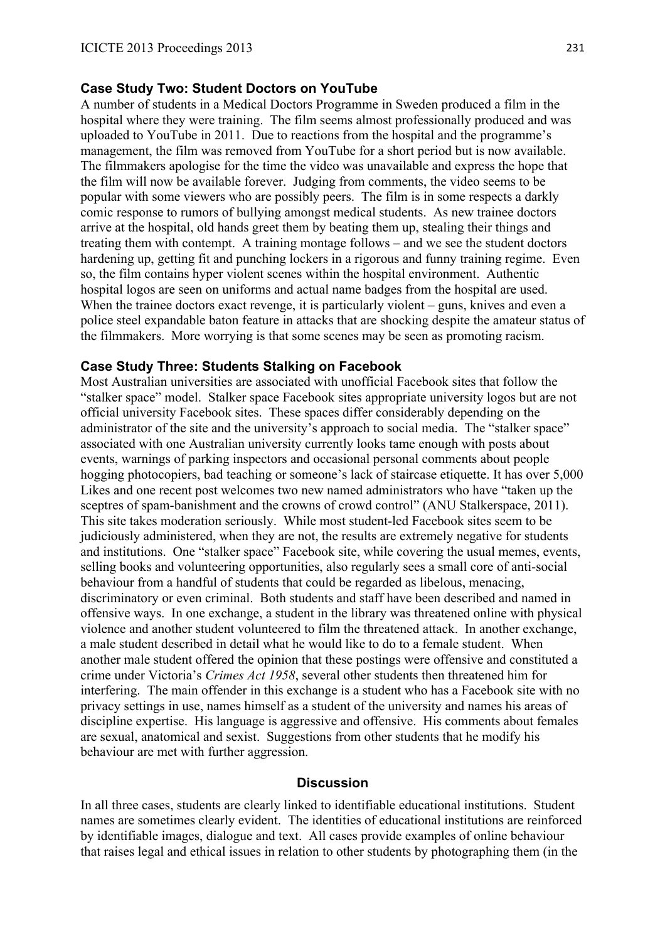### **Case Study Two: Student Doctors on YouTube**

A number of students in a Medical Doctors Programme in Sweden produced a film in the hospital where they were training. The film seems almost professionally produced and was uploaded to YouTube in 2011. Due to reactions from the hospital and the programme's management, the film was removed from YouTube for a short period but is now available. The filmmakers apologise for the time the video was unavailable and express the hope that the film will now be available forever. Judging from comments, the video seems to be popular with some viewers who are possibly peers. The film is in some respects a darkly comic response to rumors of bullying amongst medical students. As new trainee doctors arrive at the hospital, old hands greet them by beating them up, stealing their things and treating them with contempt. A training montage follows – and we see the student doctors hardening up, getting fit and punching lockers in a rigorous and funny training regime. Even so, the film contains hyper violent scenes within the hospital environment. Authentic hospital logos are seen on uniforms and actual name badges from the hospital are used. When the trainee doctors exact revenge, it is particularly violent – guns, knives and even a police steel expandable baton feature in attacks that are shocking despite the amateur status of the filmmakers. More worrying is that some scenes may be seen as promoting racism.

### **Case Study Three: Students Stalking on Facebook**

Most Australian universities are associated with unofficial Facebook sites that follow the "stalker space" model. Stalker space Facebook sites appropriate university logos but are not official university Facebook sites. These spaces differ considerably depending on the administrator of the site and the university's approach to social media. The "stalker space" associated with one Australian university currently looks tame enough with posts about events, warnings of parking inspectors and occasional personal comments about people hogging photocopiers, bad teaching or someone's lack of staircase etiquette. It has over 5,000 Likes and one recent post welcomes two new named administrators who have "taken up the sceptres of spam-banishment and the crowns of crowd control" (ANU Stalkerspace, 2011). This site takes moderation seriously. While most student-led Facebook sites seem to be judiciously administered, when they are not, the results are extremely negative for students and institutions. One "stalker space" Facebook site, while covering the usual memes, events, selling books and volunteering opportunities, also regularly sees a small core of anti-social behaviour from a handful of students that could be regarded as libelous, menacing, discriminatory or even criminal. Both students and staff have been described and named in offensive ways. In one exchange, a student in the library was threatened online with physical violence and another student volunteered to film the threatened attack. In another exchange, a male student described in detail what he would like to do to a female student. When another male student offered the opinion that these postings were offensive and constituted a crime under Victoria's *Crimes Act 1958*, several other students then threatened him for interfering. The main offender in this exchange is a student who has a Facebook site with no privacy settings in use, names himself as a student of the university and names his areas of discipline expertise. His language is aggressive and offensive. His comments about females are sexual, anatomical and sexist. Suggestions from other students that he modify his behaviour are met with further aggression.

### **Discussion**

In all three cases, students are clearly linked to identifiable educational institutions. Student names are sometimes clearly evident. The identities of educational institutions are reinforced by identifiable images, dialogue and text. All cases provide examples of online behaviour that raises legal and ethical issues in relation to other students by photographing them (in the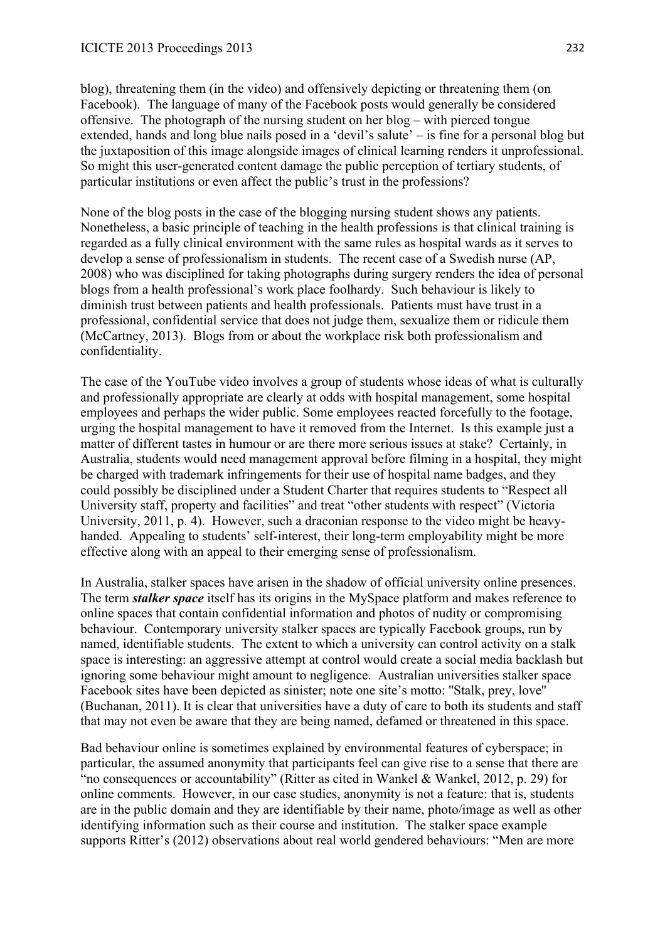blog), threatening them (in the video) and offensively depicting or threatening them (on Facebook). The language of many of the Facebook posts would generally be considered offensive. The photograph of the nursing student on her blog – with pierced tongue extended, hands and long blue nails posed in a 'devil's salute' – is fine for a personal blog but the juxtaposition of this image alongside images of clinical learning renders it unprofessional. So might this user-generated content damage the public perception of tertiary students, of particular institutions or even affect the public's trust in the professions?

None of the blog posts in the case of the blogging nursing student shows any patients. Nonetheless, a basic principle of teaching in the health professions is that clinical training is regarded as a fully clinical environment with the same rules as hospital wards as it serves to develop a sense of professionalism in students. The recent case of a Swedish nurse (AP, 2008) who was disciplined for taking photographs during surgery renders the idea of personal blogs from a health professional's work place foolhardy. Such behaviour is likely to diminish trust between patients and health professionals. Patients must have trust in a professional, confidential service that does not judge them, sexualize them or ridicule them (McCartney, 2013). Blogs from or about the workplace risk both professionalism and confidentiality.

The case of the YouTube video involves a group of students whose ideas of what is culturally and professionally appropriate are clearly at odds with hospital management, some hospital employees and perhaps the wider public. Some employees reacted forcefully to the footage, urging the hospital management to have it removed from the Internet. Is this example just a matter of different tastes in humour or are there more serious issues at stake? Certainly, in Australia, students would need management approval before filming in a hospital, they might be charged with trademark infringements for their use of hospital name badges, and they could possibly be disciplined under a Student Charter that requires students to "Respect all University staff, property and facilities" and treat "other students with respect" (Victoria University, 2011, p. 4). However, such a draconian response to the video might be heavyhanded. Appealing to students' self-interest, their long-term employability might be more effective along with an appeal to their emerging sense of professionalism.

In Australia, stalker spaces have arisen in the shadow of official university online presences. The term *stalker space* itself has its origins in the MySpace platform and makes reference to online spaces that contain confidential information and photos of nudity or compromising behaviour. Contemporary university stalker spaces are typically Facebook groups, run by named, identifiable students. The extent to which a university can control activity on a stalk space is interesting: an aggressive attempt at control would create a social media backlash but ignoring some behaviour might amount to negligence. Australian universities stalker space Facebook sites have been depicted as sinister; note one site's motto: ''Stalk, prey, love'' (Buchanan, 2011). It is clear that universities have a duty of care to both its students and staff that may not even be aware that they are being named, defamed or threatened in this space.

Bad behaviour online is sometimes explained by environmental features of cyberspace; in particular, the assumed anonymity that participants feel can give rise to a sense that there are "no consequences or accountability" (Ritter as cited in Wankel & Wankel, 2012, p. 29) for online comments. However, in our case studies, anonymity is not a feature: that is, students are in the public domain and they are identifiable by their name, photo/image as well as other identifying information such as their course and institution. The stalker space example supports Ritter's (2012) observations about real world gendered behaviours: "Men are more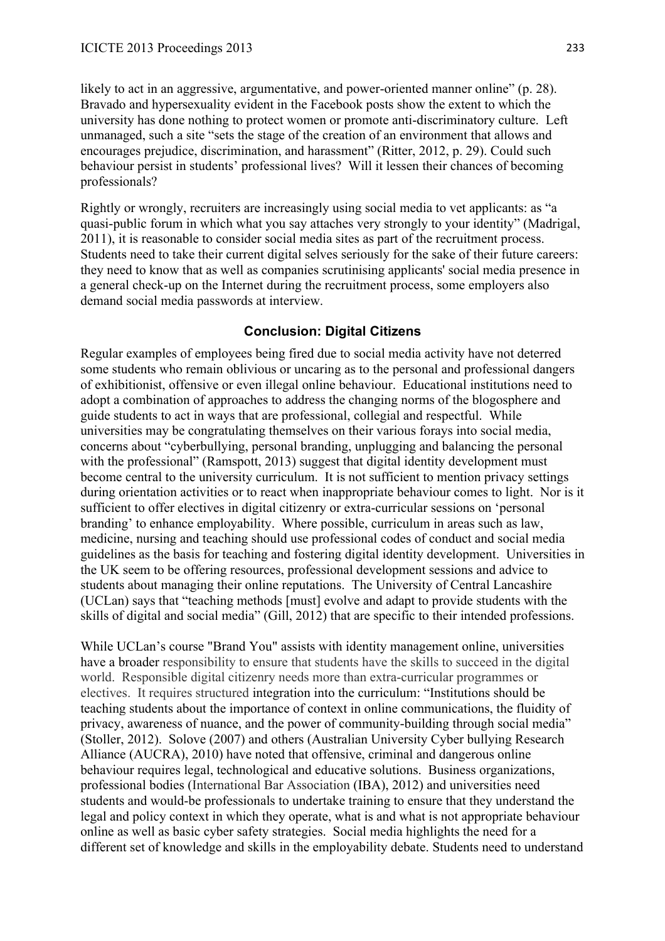likely to act in an aggressive, argumentative, and power-oriented manner online" (p. 28). Bravado and hypersexuality evident in the Facebook posts show the extent to which the university has done nothing to protect women or promote anti-discriminatory culture. Left unmanaged, such a site "sets the stage of the creation of an environment that allows and encourages prejudice, discrimination, and harassment" (Ritter, 2012, p. 29). Could such behaviour persist in students' professional lives? Will it lessen their chances of becoming professionals?

Rightly or wrongly, recruiters are increasingly using social media to vet applicants: as "a quasi-public forum in which what you say attaches very strongly to your identity" (Madrigal, 2011), it is reasonable to consider social media sites as part of the recruitment process. Students need to take their current digital selves seriously for the sake of their future careers: they need to know that as well as companies scrutinising applicants' social media presence in a general check-up on the Internet during the recruitment process, some employers also demand social media passwords at interview.

### **Conclusion: Digital Citizens**

Regular examples of employees being fired due to social media activity have not deterred some students who remain oblivious or uncaring as to the personal and professional dangers of exhibitionist, offensive or even illegal online behaviour. Educational institutions need to adopt a combination of approaches to address the changing norms of the blogosphere and guide students to act in ways that are professional, collegial and respectful. While universities may be congratulating themselves on their various forays into social media, concerns about "cyberbullying, personal branding, unplugging and balancing the personal with the professional" (Ramspott, 2013) suggest that digital identity development must become central to the university curriculum. It is not sufficient to mention privacy settings during orientation activities or to react when inappropriate behaviour comes to light. Nor is it sufficient to offer electives in digital citizenry or extra-curricular sessions on 'personal branding' to enhance employability. Where possible, curriculum in areas such as law, medicine, nursing and teaching should use professional codes of conduct and social media guidelines as the basis for teaching and fostering digital identity development. Universities in the UK seem to be offering resources, professional development sessions and advice to students about managing their online reputations. The University of Central Lancashire (UCLan) says that "teaching methods [must] evolve and adapt to provide students with the skills of digital and social media" (Gill, 2012) that are specific to their intended professions.

While UCLan's course "Brand You" assists with identity management online, universities have a broader responsibility to ensure that students have the skills to succeed in the digital world. Responsible digital citizenry needs more than extra-curricular programmes or electives. It requires structured integration into the curriculum: "Institutions should be teaching students about the importance of context in online communications, the fluidity of privacy, awareness of nuance, and the power of community-building through social media" (Stoller, 2012). Solove (2007) and others (Australian University Cyber bullying Research Alliance (AUCRA), 2010) have noted that offensive, criminal and dangerous online behaviour requires legal, technological and educative solutions. Business organizations, professional bodies (International Bar Association (IBA), 2012) and universities need students and would-be professionals to undertake training to ensure that they understand the legal and policy context in which they operate, what is and what is not appropriate behaviour online as well as basic cyber safety strategies. Social media highlights the need for a different set of knowledge and skills in the employability debate. Students need to understand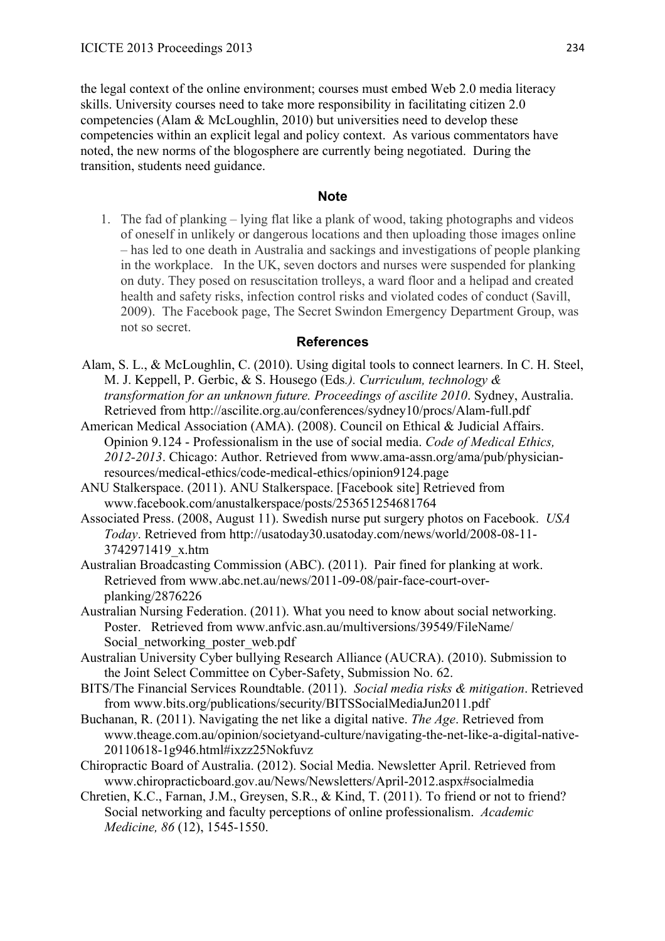the legal context of the online environment; courses must embed Web 2.0 media literacy skills. University courses need to take more responsibility in facilitating citizen 2.0 competencies (Alam & McLoughlin, 2010) but universities need to develop these competencies within an explicit legal and policy context. As various commentators have noted, the new norms of the blogosphere are currently being negotiated. During the transition, students need guidance.

### **Note**

1. The fad of planking – lying flat like a plank of wood, taking photographs and videos of oneself in unlikely or dangerous locations and then uploading those images online – has led to one death in Australia and sackings and investigations of people planking in the workplace. In the UK, seven doctors and nurses were suspended for planking on duty. They posed on resuscitation trolleys, a ward floor and a helipad and created health and safety risks, infection control risks and violated codes of conduct (Savill, 2009). The Facebook page, The Secret Swindon Emergency Department Group, was not so secret.

### **References**

- Alam, S. L., & McLoughlin, C. (2010). Using digital tools to connect learners. In C. H. Steel, M. J. Keppell, P. Gerbic, & S. Housego (Eds*.). Curriculum, technology & transformation for an unknown future. Proceedings of ascilite 2010*. Sydney, Australia. Retrieved from http://ascilite.org.au/conferences/sydney10/procs/Alam-full.pdf
- American Medical Association (AMA). (2008). Council on Ethical & Judicial Affairs. Opinion 9.124 - Professionalism in the use of social media. *Code of Medical Ethics, 2012-2013*. Chicago: Author. Retrieved from www.ama-assn.org/ama/pub/physicianresources/medical-ethics/code-medical-ethics/opinion9124.page
- ANU Stalkerspace. (2011). ANU Stalkerspace. [Facebook site] Retrieved from www.facebook.com/anustalkerspace/posts/253651254681764
- Associated Press. (2008, August 11). Swedish nurse put surgery photos on Facebook. *USA Today*. Retrieved from http://usatoday30.usatoday.com/news/world/2008-08-11- 3742971419\_x.htm
- Australian Broadcasting Commission (ABC). (2011). Pair fined for planking at work. Retrieved from www.abc.net.au/news/2011-09-08/pair-face-court-overplanking/2876226
- Australian Nursing Federation. (2011). What you need to know about social networking. Poster. Retrieved from www.anfvic.asn.au/multiversions/39549/FileName/ Social networking poster web.pdf
- Australian University Cyber bullying Research Alliance (AUCRA). (2010). Submission to the Joint Select Committee on Cyber-Safety, Submission No. 62.
- BITS/The Financial Services Roundtable. (2011). *Social media risks & mitigation*. Retrieved from www.bits.org/publications/security/BITSSocialMediaJun2011.pdf
- Buchanan, R. (2011). Navigating the net like a digital native. *The Age*. Retrieved from www.theage.com.au/opinion/societyand-culture/navigating-the-net-like-a-digital-native-20110618-1g946.html#ixzz25Nokfuvz
- Chiropractic Board of Australia. (2012). Social Media. Newsletter April. Retrieved from www.chiropracticboard.gov.au/News/Newsletters/April-2012.aspx#socialmedia
- Chretien, K.C., Farnan, J.M., Greysen, S.R., & Kind, T. (2011). To friend or not to friend? Social networking and faculty perceptions of online professionalism. *Academic Medicine, 86* (12), 1545-1550.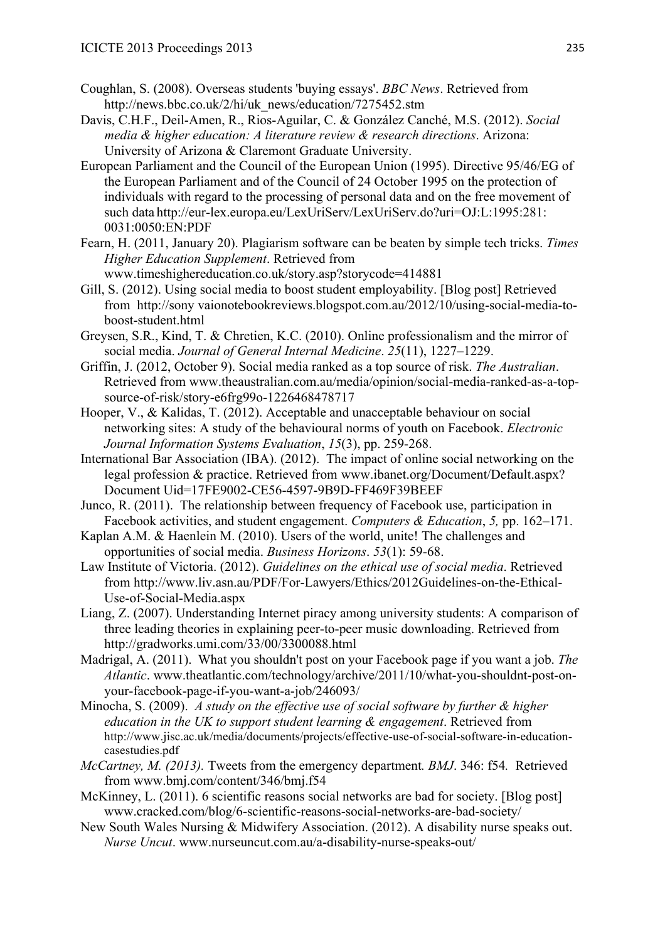- Coughlan, S. (2008). Overseas students 'buying essays'. *BBC News*. Retrieved from http://news.bbc.co.uk/2/hi/uk\_news/education/7275452.stm
- Davis, C.H.F., Deil-Amen, R., Rios-Aguilar, C. & González Canché, M.S. (2012). *Social media & higher education: A literature review & research directions*. Arizona: University of Arizona & Claremont Graduate University.
- European Parliament and the Council of the European Union (1995). Directive 95/46/EG of the European Parliament and of the Council of 24 October 1995 on the protection of individuals with regard to the processing of personal data and on the free movement of such data http://eur-lex.europa.eu/LexUriServ/LexUriServ.do?uri=OJ:L:1995:281: 0031:0050:EN:PDF
- Fearn, H. (2011, January 20). Plagiarism software can be beaten by simple tech tricks. *Times Higher Education Supplement*. Retrieved from www.timeshighereducation.co.uk/story.asp?storycode=414881
- Gill, S. (2012). Using social media to boost student employability. [Blog post] Retrieved from http://sony vaionotebookreviews.blogspot.com.au/2012/10/using-social-media-toboost-student.html
- Greysen, S.R., Kind, T. & Chretien, K.C. (2010). Online professionalism and the mirror of social media. *Journal of General Internal Medicine*. *25*(11), 1227–1229.
- Griffin, J. (2012, October 9). Social media ranked as a top source of risk. *The Australian*. Retrieved from www.theaustralian.com.au/media/opinion/social-media-ranked-as-a-topsource-of-risk/story-e6frg99o-1226468478717
- Hooper, V., & Kalidas, T. (2012). Acceptable and unacceptable behaviour on social networking sites: A study of the behavioural norms of youth on Facebook. *Electronic Journal Information Systems Evaluation*, *15*(3), pp. 259-268.
- International Bar Association (IBA). (2012). The impact of online social networking on the legal profession & practice. Retrieved from www.ibanet.org/Document/Default.aspx? Document Uid=17FE9002-CE56-4597-9B9D-FF469F39BEEF
- Junco, R. (2011). The relationship between frequency of Facebook use, participation in Facebook activities, and student engagement. *Computers & Education*, *5,* pp. 162–171.
- Kaplan A.M. & Haenlein M. (2010). Users of the world, unite! The challenges and opportunities of social media. *Business Horizons*. *53*(1): 59-68.
- Law Institute of Victoria. (2012). *Guidelines on the ethical use of social media*. Retrieved from http://www.liv.asn.au/PDF/For-Lawyers/Ethics/2012Guidelines-on-the-Ethical-Use-of-Social-Media.aspx
- Liang, Z. (2007). Understanding Internet piracy among university students: A comparison of three leading theories in explaining peer-to-peer music downloading. Retrieved from http://gradworks.umi.com/33/00/3300088.html
- Madrigal, A. (2011). What you shouldn't post on your Facebook page if you want a job. *The Atlantic*. www.theatlantic.com/technology/archive/2011/10/what-you-shouldnt-post-onyour-facebook-page-if-you-want-a-job/246093/
- Minocha, S. (2009). *A study on the effective use of social software by further & higher education in the UK to support student learning & engagement*. Retrieved from http://www.jisc.ac.uk/media/documents/projects/effective-use-of-social-software-in-educationcasestudies.pdf
- *McCartney, M. (2013).* Tweets from the emergency department*. BMJ*. 346: f54*.* Retrieved from www.bmj.com/content/346/bmj.f54
- McKinney, L. (2011). 6 scientific reasons social networks are bad for society. [Blog post] www.cracked.com/blog/6-scientific-reasons-social-networks-are-bad-society/
- New South Wales Nursing & Midwifery Association. (2012). A disability nurse speaks out. *Nurse Uncut*. www.nurseuncut.com.au/a-disability-nurse-speaks-out/